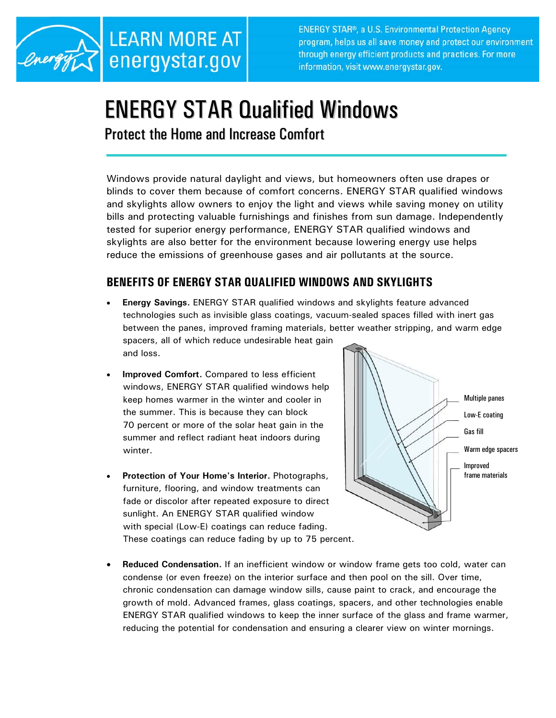

**ENERGY STAR®, a U.S. Environmental Protection Agency** program, helps us all save money and protect our environment through energy efficient products and practices. For more information, visit www.energystar.gov.

# ENERGY STAR Qualified Windows

Protect the Home and Increase Comfort

Windows provide natural daylight and views, but homeowners often use drapes or blinds to cover them because of comfort concerns. ENERGY STAR qualified windows and skylights allow owners to enjoy the light and views while saving money on utility bills and protecting valuable furnishings and finishes from sun damage. Independently tested for superior energy performance, ENERGY STAR qualified windows and skylights are also better for the environment because lowering energy use helps reduce the emissions of greenhouse gases and air pollutants at the source.

## **BENEFITS OF ENERGY STAR QUALIFIED WINDOWS AND SKYLIGHTS**

- **Energy Savings.** ENERGY STAR qualified windows and skylights feature advanced technologies such as invisible glass coatings, vacuum-sealed spaces filled with inert gas between the panes, improved framing materials, better weather stripping, and warm edge spacers, all of which reduce undesirable heat gain and loss.
- **Improved Comfort.** Compared to less efficient windows, ENERGY STAR qualified windows help keep homes warmer in the winter and cooler in the summer. This is because they can block 70 percent or more of the solar heat gain in the summer and reflect radiant heat indoors during winter.
- **Protection of Your Home's Interior.** Photographs, furniture, flooring, and window treatments can fade or discolor after repeated exposure to direct sunlight. An ENERGY STAR qualified window with special (Low-E) coatings can reduce fading. These coatings can reduce fading by up to 75 percent.



• **Reduced Condensation.** If an inefficient window or window frame gets too cold, water can condense (or even freeze) on the interior surface and then pool on the sill. Over time, chronic condensation can damage window sills, cause paint to crack, and encourage the growth of mold. Advanced frames, glass coatings, spacers, and other technologies enable ENERGY STAR qualified windows to keep the inner surface of the glass and frame warmer, reducing the potential for condensation and ensuring a clearer view on winter mornings.